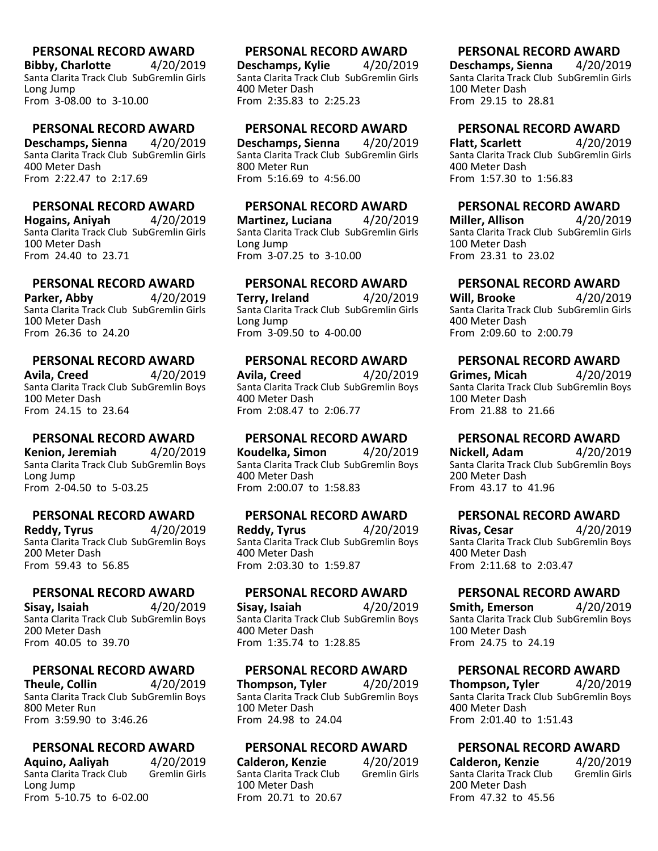**Bibby, Charlotte** 4/20/2019 Santa Clarita Track Club SubGremlin Girls Long Jump From 3-08.00 to 3-10.00

#### **PERSONAL RECORD AWARD**

**Deschamps, Sienna** 4/20/2019 Santa Clarita Track Club SubGremlin Girls 400 Meter Dash From 2:22.47 to 2:17.69

# **PERSONAL RECORD AWARD**

**Hogains, Aniyah** 4/20/2019 Santa Clarita Track Club SubGremlin Girls 100 Meter Dash From 24.40 to 23.71

# **PERSONAL RECORD AWARD**

**Parker, Abby** 4/20/2019 Santa Clarita Track Club SubGremlin Girls 100 Meter Dash From 26.36 to 24.20

### **PERSONAL RECORD AWARD**

**Avila, Creed** 4/20/2019 Santa Clarita Track Club SubGremlin Boys 100 Meter Dash From 24.15 to 23.64

### **PERSONAL RECORD AWARD**

**Kenion, Jeremiah** 4/20/2019 Santa Clarita Track Club SubGremlin Boys Long Jump From 2-04.50 to 5-03.25

### **PERSONAL RECORD AWARD**

**Reddy, Tyrus** 4/20/2019 Santa Clarita Track Club SubGremlin Boys 200 Meter Dash From 59.43 to 56.85

#### **PERSONAL RECORD AWARD**

**Sisay, Isaiah** 4/20/2019 Santa Clarita Track Club SubGremlin Boys 200 Meter Dash From 40.05 to 39.70

# **PERSONAL RECORD AWARD**<br>heule, Collin 4/20/2019

**Theule, Collin** Santa Clarita Track Club SubGremlin Boys 800 Meter Run From 3:59.90 to 3:46.26

### **PERSONAL RECORD AWARD**

**Aquino, Aaliyah** (4/20/2019)<br>Santa Clarita Track Club (6 Gremlin Girls) Santa Clarita Track Club Long Jump From 5-10.75 to 6-02.00

# **PERSONAL RECORD AWARD**

**Deschamps, Kylie** 4/20/2019 Santa Clarita Track Club SubGremlin Girls 400 Meter Dash From 2:35.83 to 2:25.23

#### **PERSONAL RECORD AWARD**

**Deschamps, Sienna** 4/20/2019 Santa Clarita Track Club SubGremlin Girls 800 Meter Run From 5:16.69 to 4:56.00

### **PERSONAL RECORD AWARD**

**Martinez, Luciana** 4/20/2019 Santa Clarita Track Club SubGremlin Girls Long Jump From 3-07.25 to 3-10.00

# **PERSONAL RECORD AWARD**

**Terry, Ireland** 4/20/2019 Santa Clarita Track Club SubGremlin Girls Long Jump From 3-09.50 to 4-00.00

### **PERSONAL RECORD AWARD**

**Avila, Creed** 4/20/2019 Santa Clarita Track Club SubGremlin Boys 400 Meter Dash From 2:08.47 to 2:06.77

### **PERSONAL RECORD AWARD**

**Koudelka, Simon** 4/20/2019 Santa Clarita Track Club SubGremlin Boys 400 Meter Dash From 2:00.07 to 1:58.83

### **PERSONAL RECORD AWARD**

**Reddy, Tyrus** 4/20/2019 Santa Clarita Track Club SubGremlin Boys 400 Meter Dash From 2:03.30 to 1:59.87

### **PERSONAL RECORD AWARD**

**Sisay, Isaiah** 4/20/2019 Santa Clarita Track Club SubGremlin Boys 400 Meter Dash From 1:35.74 to 1:28.85

#### **PERSONAL RECORD AWARD**

**Thompson, Tyler** 4/20/2019 Santa Clarita Track Club SubGremlin Boys 100 Meter Dash From 24.98 to 24.04

### **PERSONAL RECORD AWARD**

**Calderon, Kenzie** 4/20/2019<br>Santa Clarita Track Club Gremlin Girls Santa Clarita Track Club 100 Meter Dash From 20.71 to 20.67

# **PERSONAL RECORD AWARD**

**Deschamps, Sienna** 4/20/2019 Santa Clarita Track Club SubGremlin Girls 100 Meter Dash From 29.15 to 28.81

# **PERSONAL RECORD AWARD**

**Flatt, Scarlett** 4/20/2019 Santa Clarita Track Club SubGremlin Girls 400 Meter Dash From 1:57.30 to 1:56.83

# **PERSONAL RECORD AWARD**

**Miller, Allison** 4/20/2019 Santa Clarita Track Club SubGremlin Girls 100 Meter Dash From 23.31 to 23.02

# **PERSONAL RECORD AWARD**

**Will, Brooke** 4/20/2019 Santa Clarita Track Club SubGremlin Girls 400 Meter Dash From 2:09.60 to 2:00.79

# **PERSONAL RECORD AWARD**

**Grimes, Micah** 4/20/2019 Santa Clarita Track Club SubGremlin Boys 100 Meter Dash From 21.88 to 21.66

# **PERSONAL RECORD AWARD**

**Nickell, Adam** 4/20/2019 Santa Clarita Track Club SubGremlin Boys 200 Meter Dash From 43.17 to 41.96

# **PERSONAL RECORD AWARD**

**Rivas, Cesar** 4/20/2019 Santa Clarita Track Club SubGremlin Boys 400 Meter Dash From 2:11.68 to 2:03.47

# **PERSONAL RECORD AWARD**

**Smith, Emerson** 4/20/2019 Santa Clarita Track Club SubGremlin Boys 100 Meter Dash From 24.75 to 24.19

# **PERSONAL RECORD AWARD**

**Thompson, Tyler** 4/20/2019 Santa Clarita Track Club SubGremlin Boys 400 Meter Dash From 2:01.40 to 1:51.43

# **PERSONAL RECORD AWARD**

| <b>Calderon, Kenzie</b>  | 4/20/2019            |
|--------------------------|----------------------|
| Santa Clarita Track Club | <b>Gremlin Girls</b> |
| 200 Meter Dash           |                      |
| From 47.32 to 45.56      |                      |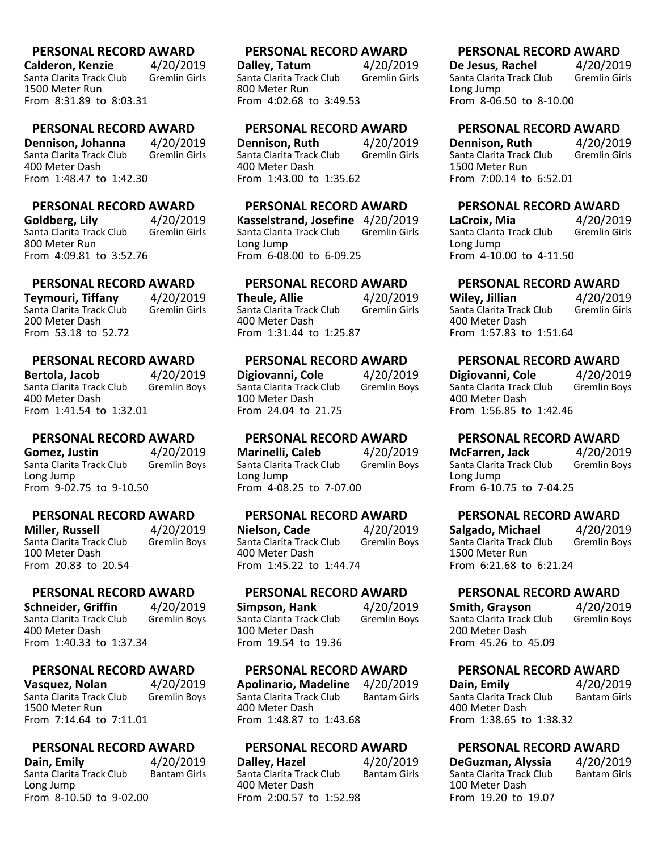**Calderon, Kenzie** 4/20/2019<br>Santa Clarita Track Club Gremlin Girls Santa Clarita Track Club 1500 Meter Run From 8:31.89 to 8:03.31

#### **PERSONAL RECORD AWARD**

**Dennison, Johanna** 4/20/2019<br>Santa Clarita Track Club Gremlin Girls Santa Clarita Track Club 400 Meter Dash From 1:48.47 to 1:42.30

#### **PERSONAL RECORD AWARD**

**Goldberg, Lily** 4/20/2019<br>Santa Clarita Track Club Gremlin Girls Santa Clarita Track Club 800 Meter Run From 4:09.81 to 3:52.76

# **PERSONAL RECORD AWARD**

**Teymouri, Tiffany** 4/20/2019 Santa Clarita Track Club 200 Meter Dash From 53.18 to 52.72

#### **PERSONAL RECORD AWARD**

**Bertola, Jacob** 4/20/2019<br>Santa Clarita Track Club Gremlin Boys Santa Clarita Track Club 400 Meter Dash From 1:41.54 to 1:32.01

#### **PERSONAL RECORD AWARD**

**Gomez, Justin** 4/20/2019 Santa Clarita Track Club Gremlin Boys Long Jump From 9-02.75 to 9-10.50

#### **PERSONAL RECORD AWARD**

**Miller, Russell** 4/20/2019<br>Santa Clarita Track Club Gremlin Boys Santa Clarita Track Club 100 Meter Dash From 20.83 to 20.54

#### **PERSONAL RECORD AWARD**

**Schneider, Griffin** 4/20/2019<br>Santa Clarita Track Club Gremlin Boys Santa Clarita Track Club 400 Meter Dash From 1:40.33 to 1:37.34

#### **PERSONAL RECORD AWARD**

**Vasquez, Nolan** 4/20/2019<br>Santa Clarita Track Club Gremlin Boys Santa Clarita Track Club 1500 Meter Run From 7:14.64 to 7:11.01

#### **PERSONAL RECORD AWARD**

**Dain, Emily** 4/20/2019<br>Santa Clarita Track Club Bantam Girls Santa Clarita Track Club Long Jump From 8-10.50 to 9-02.00

#### **PERSONAL RECORD AWARD**

**Dalley, Tatum** 4/20/2019<br>Santa Clarita Track Club Gremlin Girls Santa Clarita Track Club 800 Meter Run From 4:02.68 to 3:49.53

#### **PERSONAL RECORD AWARD**

**Dennison, Ruth** 4/20/2019<br>Santa Clarita Track Club Gremlin Girls Santa Clarita Track Club 400 Meter Dash From 1:43.00 to 1:35.62

### **PERSONAL RECORD AWARD**

**Kasselstrand, Josefine** 4/20/2019 Santa Clarita Track Club Long Jump From 6-08.00 to 6-09.25

#### **PERSONAL RECORD AWARD**

**Theule, Allie** 4/20/2019 Santa Clarita Track Club 400 Meter Dash From 1:31.44 to 1:25.87

### **PERSONAL RECORD AWARD**

**Digiovanni, Cole** 4/20/2019<br>Santa Clarita Track Club Gremlin Boys Santa Clarita Track Club 100 Meter Dash From 24.04 to 21.75

#### **PERSONAL RECORD AWARD**

**Marinelli, Caleb** 4/20/2019 Santa Clarita Track Club Gremlin Boys Long Jump From 4-08.25 to 7-07.00

#### **PERSONAL RECORD AWARD**

**Nielson, Cade** 4/20/2019<br>Santa Clarita Track Club Gremlin Boys Santa Clarita Track Club 400 Meter Dash From 1:45.22 to 1:44.74

# **PERSONAL RECORD AWARD**

**Simpson, Hank** 4/20/2019<br>Santa Clarita Track Club Gremlin Boys Santa Clarita Track Club 100 Meter Dash From 19.54 to 19.36

#### **PERSONAL RECORD AWARD**

**Apolinario, Madeline** 4/20/2019 Santa Clarita Track Club 400 Meter Dash From 1:48.87 to 1:43.68

#### **PERSONAL RECORD AWARD**

**Dalley, Hazel** 4/20/2019<br>Santa Clarita Track Club Bantam Girls Santa Clarita Track Club 400 Meter Dash From 2:00.57 to 1:52.98

#### **PERSONAL RECORD AWARD**

**De Jesus, Rachel**  $4/20/2019$ <br>
Santa Clarita Track Club Gremlin Girls Santa Clarita Track Club Long Jump From 8-06.50 to 8-10.00

#### **PERSONAL RECORD AWARD**

**Dennison, Ruth** 4/20/2019<br>Santa Clarita Track Club Gremlin Girls Santa Clarita Track Club 1500 Meter Run From 7:00.14 to 6:52.01

#### **PERSONAL RECORD AWARD**

**LaCroix, Mia** 4/20/2019 Santa Clarita Track Club Long Jump From 4-10.00 to 4-11.50

# **PERSONAL RECORD AWARD**

**Wiley, Jillian** 4/20/2019 Santa Clarita Track Club 400 Meter Dash From 1:57.83 to 1:51.64

#### **PERSONAL RECORD AWARD**

**Digiovanni, Cole** 4/20/2019<br>
Santa Clarita Track Club Gremlin Boys Santa Clarita Track Club 400 Meter Dash From 1:56.85 to 1:42.46

#### **PERSONAL RECORD AWARD**

**McFarren, Jack** 4/20/2019 Santa Clarita Track Club Gremlin Boys Long Jump From 6-10.75 to 7-04.25

#### **PERSONAL RECORD AWARD**

**Salgado, Michael** 4/20/2019<br>
Santa Clarita Track Club Gremlin Boys Santa Clarita Track Club 1500 Meter Run From 6:21.68 to 6:21.24

#### **PERSONAL RECORD AWARD**

**Smith, Grayson** 4/20/2019<br>Santa Clarita Track Club Gremlin Boys Santa Clarita Track Club 200 Meter Dash From 45.26 to 45.09

#### **PERSONAL RECORD AWARD**

**Dain, Emily** 4/20/2019<br>
Santa Clarita Track Club Bantam Girls Santa Clarita Track Club 400 Meter Dash From 1:38.65 to 1:38.32

#### **PERSONAL RECORD AWARD**

| DeGuzman, Alyssia        | 4/20/2019           |
|--------------------------|---------------------|
| Santa Clarita Track Club | <b>Bantam Girls</b> |
| 100 Meter Dash           |                     |
| From 19.20 to 19.07      |                     |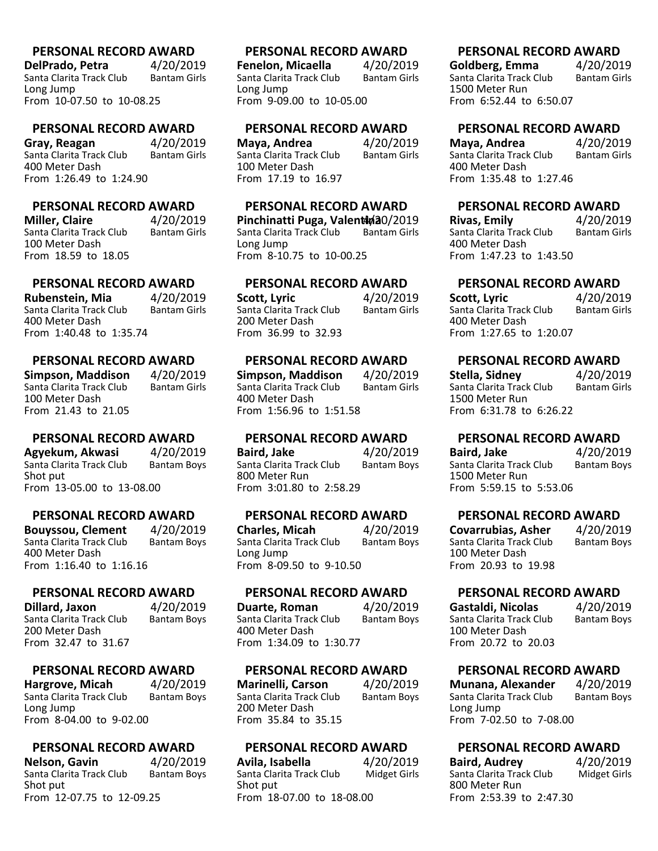**DelPrado, Petra**  $4/20/2019$ <br>Santa Clarita Track Club Bantam Girls Santa Clarita Track Club Long Jump From 10-07.50 to 10-08.25

#### **PERSONAL RECORD AWARD**

**Gray, Reagan** 4/20/2019<br>Santa Clarita Track Club Bantam Girls Santa Clarita Track Club 400 Meter Dash From 1:26.49 to 1:24.90

# **PERSONAL RECORD AWARD**

**Miller, Claire 4/20/2019**<br>Santa Clarita Track Club Bantam Girls Santa Clarita Track Club 100 Meter Dash From 18.59 to 18.05

# **PERSONAL RECORD AWARD**

**Rubenstein, Mia** 4/20/2019 Santa Clarita Track Club 400 Meter Dash From 1:40.48 to 1:35.74

# **PERSONAL RECORD AWARD**

**Simpson, Maddison** 4/20/2019 Santa Clarita Track Club 100 Meter Dash From 21.43 to 21.05

### **PERSONAL RECORD AWARD**

**Agyekum, Akwasi** 4/20/2019 Santa Clarita Track Club Bantam Boys Shot put From 13-05.00 to 13-08.00

#### **PERSONAL RECORD AWARD**

**Bouyssou, Clement** 4/20/2019<br>Santa Clarita Track Club Bantam Boys Santa Clarita Track Club 400 Meter Dash From 1:16.40 to 1:16.16

#### **PERSONAL RECORD AWARD**

**Dillard, Jaxon** 4/20/2019<br>Santa Clarita Track Club Bantam Boys Santa Clarita Track Club 200 Meter Dash From 32.47 to 31.67

#### **PERSONAL RECORD AWARD**

**Hargrove, Micah** 4/20/2019<br>Santa Clarita Track Club Bantam Boys Santa Clarita Track Club Long Jump From 8-04.00 to 9-02.00

#### **PERSONAL RECORD AWARD**

**Nelson, Gavin** 4/20/2019<br>Santa Clarita Track Club Bantam Boys Santa Clarita Track Club Shot put From 12-07.75 to 12-09.25

#### **PERSONAL RECORD AWARD**

**Fenelon, Micaella** (1/2019)<br>Santa Clarita Track Club (1) Bantam Girls Santa Clarita Track Club Long Jump From 9-09.00 to 10-05.00

#### **PERSONAL RECORD AWARD**

**Maya, Andrea** 4/20/2019<br>Santa Clarita Track Club Bantam Girls Santa Clarita Track Club 100 Meter Dash From 17.19 to 16.97

# **PERSONAL RECORD AWARD**

**Pinchinatti Puga, Valentina 10/2019**<br>Santa Clarita Track Club Bantam Girls Santa Clarita Track Club Long Jump From 8-10.75 to 10-00.25

### **PERSONAL RECORD AWARD**

**Scott, Lyric** 4/20/2019 Santa Clarita Track Club 200 Meter Dash From 36.99 to 32.93

#### **PERSONAL RECORD AWARD**

**Simpson, Maddison** 4/20/2019 Santa Clarita Track Club 400 Meter Dash From 1:56.96 to 1:51.58

#### **PERSONAL RECORD AWARD**

**Baird, Jake** 4/20/2019 Santa Clarita Track Club Bantam Boys 800 Meter Run From 3:01.80 to 2:58.29

#### **PERSONAL RECORD AWARD**

**Charles, Micah** 4/20/2019<br>Santa Clarita Track Club Bantam Boys Santa Clarita Track Club Long Jump From 8-09.50 to 9-10.50

#### **PERSONAL RECORD AWARD**

**Duarte, Roman** 4/20/2019<br>Santa Clarita Track Club Bantam Boys Santa Clarita Track Club 400 Meter Dash From 1:34.09 to 1:30.77

#### **PERSONAL RECORD AWARD**

**Marinelli, Carson** 4/20/2019<br>Santa Clarita Track Club Bantam Boys Santa Clarita Track Club 200 Meter Dash From 35.84 to 35.15

#### **PERSONAL RECORD AWARD**

**Avila, Isabella** 4/20/2019<br>Santa Clarita Track Club Midget Girls Santa Clarita Track Club Shot put From 18-07.00 to 18-08.00

#### **PERSONAL RECORD AWARD**

**Goldberg, Emma** 4/20/2019 Santa Clarita Track Club 1500 Meter Run From 6:52.44 to 6:50.07

# **PERSONAL RECORD AWARD**

**Maya, Andrea** 4/20/2019<br>Santa Clarita Track Club Bantam Girls Santa Clarita Track Club 400 Meter Dash From 1:35.48 to 1:27.46

# **PERSONAL RECORD AWARD**

**Rivas, Emily** 4/20/2019<br>
Santa Clarita Track Club Bantam Girls Santa Clarita Track Club 400 Meter Dash From 1:47.23 to 1:43.50

# **PERSONAL RECORD AWARD**

**Scott, Lyric** 4/20/2019 Santa Clarita Track Club 400 Meter Dash From 1:27.65 to 1:20.07

# **PERSONAL RECORD AWARD**

**Stella, Sidney** 4/20/2019 Santa Clarita Track Club 1500 Meter Run From 6:31.78 to 6:26.22

# **PERSONAL RECORD AWARD**

**Baird, Jake** 4/20/2019 Santa Clarita Track Club Bantam Boys 1500 Meter Run From 5:59.15 to 5:53.06

# **PERSONAL RECORD AWARD**

**Covarrubias, Asher** 4/20/2019<br>Santa Clarita Track Club Bantam Boys Santa Clarita Track Club 100 Meter Dash From 20.93 to 19.98

### **PERSONAL RECORD AWARD**

**Gastaldi, Nicolas** 4/20/2019<br>Santa Clarita Track Club Bantam Boys Santa Clarita Track Club 100 Meter Dash From 20.72 to 20.03

### **PERSONAL RECORD AWARD**

**Munana, Alexander** 4/20/2019<br>Santa Clarita Track Club Bantam Boys Santa Clarita Track Club Long Jump From 7-02.50 to 7-08.00

# **PERSONAL RECORD AWARD**

| <b>Baird, Audrey</b>     | 4/20/2019           |
|--------------------------|---------------------|
| Santa Clarita Track Club | <b>Midget Girls</b> |
| 800 Meter Run            |                     |
| From 2:53.39 to 2:47.30  |                     |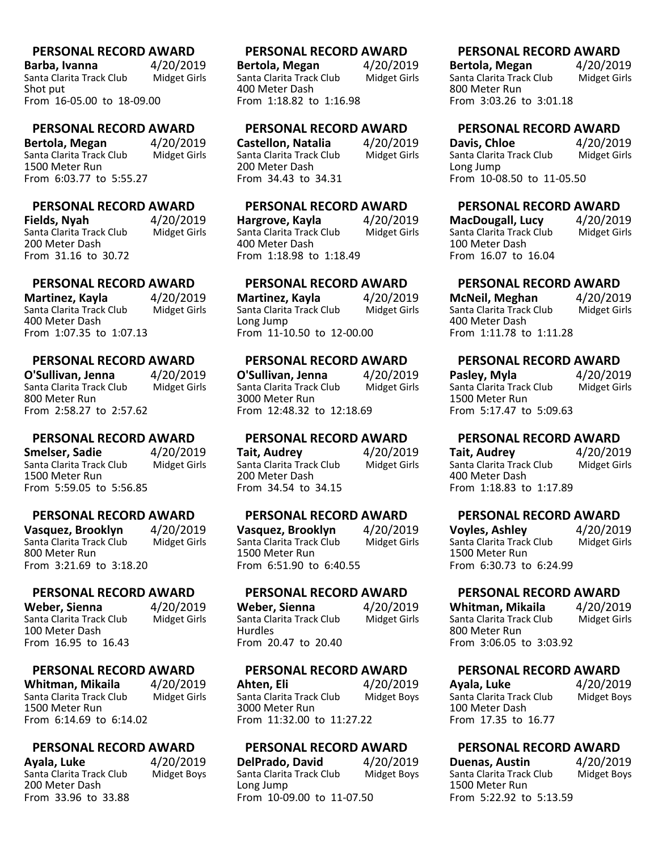**Barba, Ivanna** 4/20/2019<br>Santa Clarita Track Club Midget Girls Santa Clarita Track Club Shot put From 16-05.00 to 18-09.00

#### **PERSONAL RECORD AWARD**

**Bertola, Megan** 4/20/2019<br>Santa Clarita Track Club Midget Girls Santa Clarita Track Club 1500 Meter Run From 6:03.77 to 5:55.27

# **PERSONAL RECORD AWARD**

**Fields, Nyah** 4/20/2019<br>Santa Clarita Track Club Midget Girls Santa Clarita Track Club 200 Meter Dash From 31.16 to 30.72

### **PERSONAL RECORD AWARD**

**Martinez, Kayla** 4/20/2019<br>Santa Clarita Track Club Midget Girls Santa Clarita Track Club 400 Meter Dash From 1:07.35 to 1:07.13

#### **PERSONAL RECORD AWARD**

**O'Sullivan, Jenna** 4/20/2019 Santa Clarita Track Club 800 Meter Run From 2:58.27 to 2:57.62

### **PERSONAL RECORD AWARD**

**Smelser, Sadie** 4/20/2019 Santa Clarita Track Club Midget Girls 1500 Meter Run From 5:59.05 to 5:56.85

### **PERSONAL RECORD AWARD**

**Vasquez, Brooklyn** 4/20/2019<br>Santa Clarita Track Club Midget Girls Santa Clarita Track Club 800 Meter Run From 3:21.69 to 3:18.20

#### **PERSONAL RECORD AWARD**

**Weber, Sienna** (1/20<sub>/2019</sub>)<br>Santa Clarita Track Club (1) Midget Girls Santa Clarita Track Club 100 Meter Dash From 16.95 to 16.43

#### **PERSONAL RECORD AWARD**

**Whitman, Mikaila** 4/20/2019<br>Santa Clarita Track Club Midget Girls Santa Clarita Track Club 1500 Meter Run From 6:14.69 to 6:14.02

### **PERSONAL RECORD AWARD**

**Ayala, Luke** 4/20/2019<br>Santa Clarita Track Club Midget Boys Santa Clarita Track Club 200 Meter Dash From 33.96 to 33.88

#### **PERSONAL RECORD AWARD**

**Bertola, Megan** 4/20/2019<br>Santa Clarita Track Club Midget Girls Santa Clarita Track Club 400 Meter Dash From 1:18.82 to 1:16.98

#### **PERSONAL RECORD AWARD**

**Castellon, Natalia** 4/20/2019<br>Santa Clarita Track Club Midget Girls Santa Clarita Track Club 200 Meter Dash From 34.43 to 34.31

# **PERSONAL RECORD AWARD**

**Hargrove, Kayla** 1/20/2019<br>Santa Clarita Track Club Midget Girls Santa Clarita Track Club 400 Meter Dash From 1:18.98 to 1:18.49

# **PERSONAL RECORD AWARD**

**Martinez, Kayla** 4/20/2019<br>Santa Clarita Track Club Midget Girls Santa Clarita Track Club Long Jump From 11-10.50 to 12-00.00

### **PERSONAL RECORD AWARD**

**O'Sullivan, Jenna** 4/20/2019<br>Santa Clarita Track Club Midget Girls Santa Clarita Track Club 3000 Meter Run From 12:48.32 to 12:18.69

#### **PERSONAL RECORD AWARD**

**Tait, Audrey** 4/20/2019<br>Santa Clarita Track Club Midget Girls Santa Clarita Track Club 200 Meter Dash From 34.54 to 34.15

### **PERSONAL RECORD AWARD**

**Vasquez, Brooklyn** 4/20/2019<br>Santa Clarita Track Club Midget Girls Santa Clarita Track Club 1500 Meter Run From 6:51.90 to 6:40.55

#### **PERSONAL RECORD AWARD**

**Weber, Sienna** (1/20<sub>19)</sub><br>Santa Clarita Track Club (1) Midget Girls Santa Clarita Track Club Hurdles From 20.47 to 20.40

#### **PERSONAL RECORD AWARD**

**Ahten, Eli** 4/20/2019<br>Santa Clarita Track Club Midget Boys Santa Clarita Track Club 3000 Meter Run From 11:32.00 to 11:27.22

#### **PERSONAL RECORD AWARD**

**DelPrado, David** 4/20/2019<br>Santa Clarita Track Club Midget Boys Santa Clarita Track Club Long Jump From 10-09.00 to 11-07.50

#### **PERSONAL RECORD AWARD**

**Bertola, Megan** 4/20/2019<br>Santa Clarita Track Club Midget Girls Santa Clarita Track Club 800 Meter Run From 3:03.26 to 3:01.18

# **PERSONAL RECORD AWARD**

**Davis, Chloe** 4/20/2019<br>
Santa Clarita Track Club Midget Girls Santa Clarita Track Club Long Jump From 10-08.50 to 11-05.50

# **PERSONAL RECORD AWARD**

**MacDougall, Lucy** 4/20/2019<br>
Santa Clarita Track Club Midget Girls Santa Clarita Track Club 100 Meter Dash From 16.07 to 16.04

# **PERSONAL RECORD AWARD**

**McNeil, Meghan** 4/20/2019<br>Santa Clarita Track Club Midget Girls Santa Clarita Track Club 400 Meter Dash From 1:11.78 to 1:11.28

# **PERSONAL RECORD AWARD**

**Pasley, Myla** 4/20/2019<br>Santa Clarita Track Club Midget Girls Santa Clarita Track Club 1500 Meter Run From 5:17.47 to 5:09.63

# **PERSONAL RECORD AWARD**

**Tait, Audrey** 4/20/2019<br>Santa Clarita Track Club Midget Girls Santa Clarita Track Club 400 Meter Dash From 1:18.83 to 1:17.89

# **PERSONAL RECORD AWARD**

**Voyles, Ashley** 4/20/2019<br>Santa Clarita Track Club Midget Girls Santa Clarita Track Club 1500 Meter Run From 6:30.73 to 6:24.99

# **PERSONAL RECORD AWARD**

**Whitman, Mikaila** 4/20/2019<br>Santa Clarita Track Club Midget Girls Santa Clarita Track Club 800 Meter Run From 3:06.05 to 3:03.92

# **PERSONAL RECORD AWARD**

**Ayala, Luke** 4/20/2019<br>
Santa Clarita Track Club Midget Boys Santa Clarita Track Club 100 Meter Dash From 17.35 to 16.77

#### **PERSONAL RECORD AWARD**

**Duenas, Austin** 4/20/2019<br>
Santa Clarita Track Club Midget Boys Santa Clarita Track Club 1500 Meter Run From 5:22.92 to 5:13.59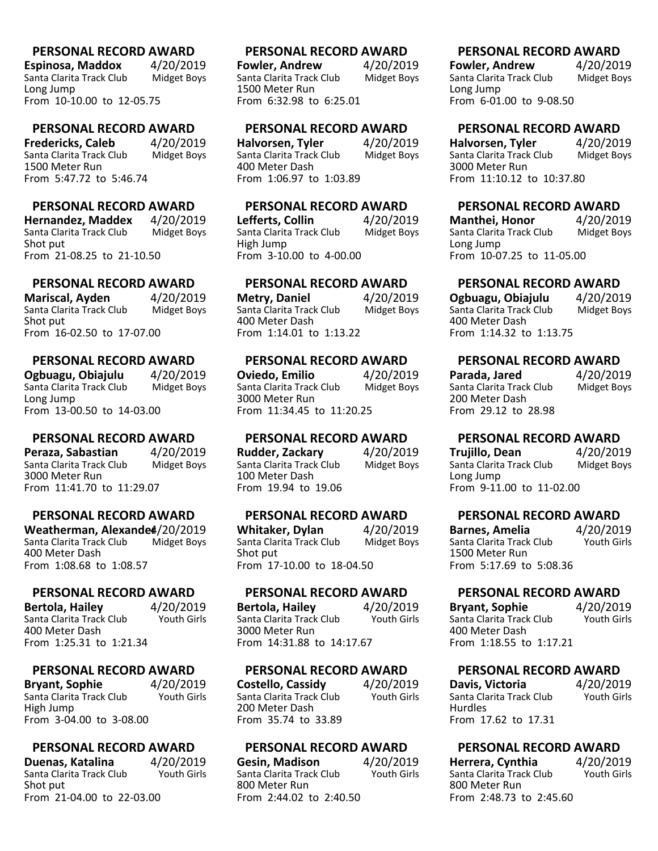**Espinosa, Maddox** 4/20/2019<br>Santa Clarita Track Club Midget Boys Santa Clarita Track Club Long Jump From 10-10.00 to 12-05.75

#### **PERSONAL RECORD AWARD**

**Fredericks, Caleb** 4/20/2019<br>Santa Clarita Track Club Midget Boys Santa Clarita Track Club 1500 Meter Run From 5:47.72 to 5:46.74

# **PERSONAL RECORD AWARD**

**Hernandez, Maddex** 4/20/2019<br>Santa Clarita Track Club Midget Boys Santa Clarita Track Club Shot put From 21-08.25 to 21-10.50

# **PERSONAL RECORD AWARD**

**Mariscal, Ayden** 4/20/2019<br>Santa Clarita Track Club Midget Boys Santa Clarita Track Club Shot put From 16-02.50 to 17-07.00

### **PERSONAL RECORD AWARD**

**Ogbuagu, Obiajulu** 1/20/2019<br>Santa Clarita Track Club Midget Boys Santa Clarita Track Club Long Jump From 13-00.50 to 14-03.00

### **PERSONAL RECORD AWARD**

**Peraza, Sabastian** (1/2019)<br>Santa Clarita Track Club (1) Midget Boys Santa Clarita Track Club 3000 Meter Run From 11:41.70 to 11:29.07

# **PERSONAL RECORD AWARD**

**Weatherman, Alexande4/20/2019**<br>Santa Clarita Track Club Midget Boys Santa Clarita Track Club 400 Meter Dash From 1:08.68 to 1:08.57

#### **PERSONAL RECORD AWARD**

**Bertola, Hailey** 4/20/2019 Santa Clarita Track Club 400 Meter Dash From 1:25.31 to 1:21.34

#### **PERSONAL RECORD AWARD**

**Bryant, Sophie** 4/20/2019<br>
Santa Clarita Track Club Youth Girls Santa Clarita Track Club High Jump From 3-04.00 to 3-08.00

### **PERSONAL RECORD AWARD**

**Duenas, Katalina**  $4/20/2019$ <br>Santa Clarita Track Club Youth Girls Santa Clarita Track Club Shot put From 21-04.00 to 22-03.00

#### **PERSONAL RECORD AWARD**

**Fowler, Andrew** 4/20/2019<br>Santa Clarita Track Club Midget Boys Santa Clarita Track Club 1500 Meter Run From 6:32.98 to 6:25.01

#### **PERSONAL RECORD AWARD**

**Halvorsen, Tyler** 4/20/2019<br>Santa Clarita Track Club Midget Boys Santa Clarita Track Club 400 Meter Dash From 1:06.97 to 1:03.89

# **PERSONAL RECORD AWARD**

**Lefferts, Collin** 4/20/2019<br>Santa Clarita Track Club Midget Boys Santa Clarita Track Club High Jump From 3-10.00 to 4-00.00

# **PERSONAL RECORD AWARD**

**Metry, Daniel** 4/20/2019<br>Santa Clarita Track Club Midget Boys Santa Clarita Track Club 400 Meter Dash From 1:14.01 to 1:13.22

### **PERSONAL RECORD AWARD**

**Oviedo, Emilio** 4/20/2019<br>Santa Clarita Track Club Midget Boys Santa Clarita Track Club 3000 Meter Run From 11:34.45 to 11:20.25

#### **PERSONAL RECORD AWARD**

**Rudder, Zackary** 4/20/2019 Santa Clarita Track Club Midget Boys 100 Meter Dash From 19.94 to 19.06

#### **PERSONAL RECORD AWARD**

**Whitaker, Dylan** 4/20/2019<br>Santa Clarita Track Club Midget Boys Santa Clarita Track Club Shot put From 17-10.00 to 18-04.50

### **PERSONAL RECORD AWARD**

**Bertola, Hailey** 4/20/2019<br>Santa Clarita Track Club Youth Girls Santa Clarita Track Club 3000 Meter Run From 14:31.88 to 14:17.67

#### **PERSONAL RECORD AWARD**

**Costello, Cassidy** 4/20/2019<br>Santa Clarita Track Club Youth Girls Santa Clarita Track Club 200 Meter Dash From 35.74 to 33.89

#### **PERSONAL RECORD AWARD**

**Gesin, Madison** 4/20/2019<br>Santa Clarita Track Club Youth Girls Santa Clarita Track Club 800 Meter Run From 2:44.02 to 2:40.50

#### **PERSONAL RECORD AWARD**

**Fowler, Andrew** 4/20/2019<br>Santa Clarita Track Club Midget Boys Santa Clarita Track Club Long Jump From 6-01.00 to 9-08.50

# **PERSONAL RECORD AWARD**

**Halvorsen, Tyler** 4/20/2019<br>Santa Clarita Track Club Midget Boys Santa Clarita Track Club 3000 Meter Run From 11:10.12 to 10:37.80

# **PERSONAL RECORD AWARD**

**Manthei, Honor** 4/20/2019<br>Santa Clarita Track Club Midget Boys Santa Clarita Track Club Long Jump From 10-07.25 to 11-05.00

# **PERSONAL RECORD AWARD**

**Ogbuagu, Obiajulu** 4/20/2019<br>Santa Clarita Track Club Midget Boys Santa Clarita Track Club 400 Meter Dash From 1:14.32 to 1:13.75

# **PERSONAL RECORD AWARD**

| Parada, Jared            | 4/20/2019          |
|--------------------------|--------------------|
| Santa Clarita Track Club | <b>Midget Boys</b> |
| 200 Meter Dash           |                    |
| From 29.12 to 28.98      |                    |

# **PERSONAL RECORD AWARD**

**Trujillo, Dean** 4/20/2019<br>Santa Clarita Track Club Midget Boys Santa Clarita Track Club Long Jump From 9-11.00 to 11-02.00

# **PERSONAL RECORD AWARD**

**Barnes, Amelia** 4/20/2019<br>
Santa Clarita Track Club Youth Girls Santa Clarita Track Club 1500 Meter Run From 5:17.69 to 5:08.36

# **PERSONAL RECORD AWARD**

**Bryant, Sophie** 4/20/2019<br>
Santa Clarita Track Club Youth Girls Santa Clarita Track Club 400 Meter Dash From 1:18.55 to 1:17.21

# **PERSONAL RECORD AWARD**

**Davis, Victoria** 4/20/2019<br>
Santa Clarita Track Club Youth Girls Santa Clarita Track Club Hurdles From 17.62 to 17.31

# **PERSONAL RECORD AWARD**

**Herrera, Cynthia** 4/20/2019<br> **Santa Clarita Track Club** Youth Girls Santa Clarita Track Club 800 Meter Run From 2:48.73 to 2:45.60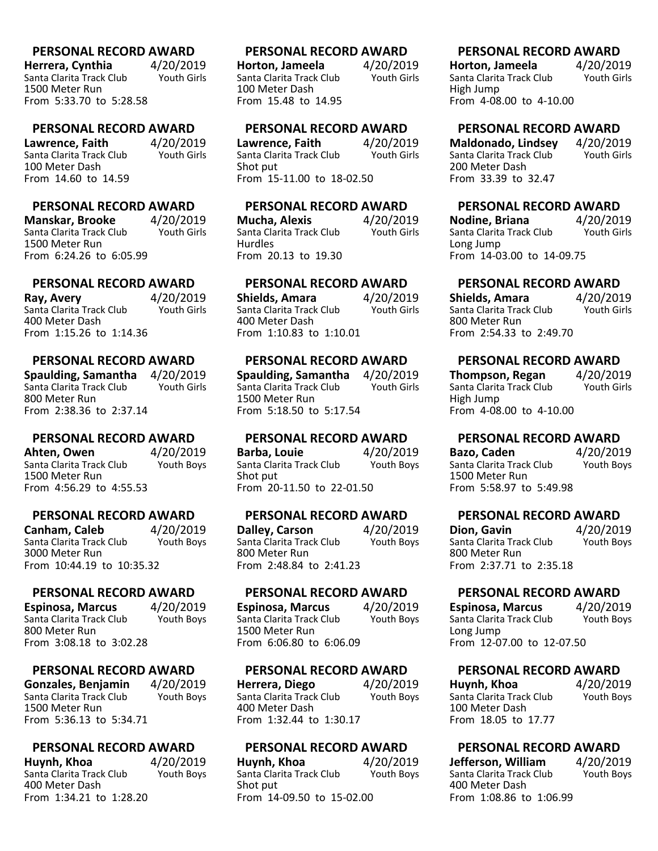**Herrera, Cynthia**  $4/20/2019$ <br>Santa Clarita Track Club Youth Girls Santa Clarita Track Club 1500 Meter Run From 5:33.70 to 5:28.58

#### **PERSONAL RECORD AWARD**

**Lawrence, Faith** 4/20/2019<br>Santa Clarita Track Club Youth Girls Santa Clarita Track Club 100 Meter Dash From 14.60 to 14.59

### **PERSONAL RECORD AWARD**

**Manskar, Brooke** 4/20/2019<br>Santa Clarita Track Club Youth Girls Santa Clarita Track Club 1500 Meter Run From 6:24.26 to 6:05.99

# **PERSONAL RECORD AWARD**

**Ray, Avery** 4/20/2019 Santa Clarita Track Club 400 Meter Dash From 1:15.26 to 1:14.36

### **PERSONAL RECORD AWARD**

**Spaulding, Samantha** 4/20/2019 Santa Clarita Track Club 800 Meter Run From 2:38.36 to 2:37.14

#### **PERSONAL RECORD AWARD**

**Ahten, Owen** 4/20/2019 Santa Clarita Track Club Youth Boys 1500 Meter Run From 4:56.29 to 4:55.53

### **PERSONAL RECORD AWARD**

**Canham, Caleb** 4/20/2019<br>Santa Clarita Track Club Youth Boys Santa Clarita Track Club 3000 Meter Run From 10:44.19 to 10:35.32

#### **PERSONAL RECORD AWARD**

**Espinosa, Marcus** 4/20/2019<br>Santa Clarita Track Club Youth Boys Santa Clarita Track Club 800 Meter Run From 3:08.18 to 3:02.28

#### **PERSONAL RECORD AWARD**

**Gonzales, Benjamin** 4/20/2019<br>Santa Clarita Track Club Youth Boys Santa Clarita Track Club 1500 Meter Run From 5:36.13 to 5:34.71

#### **PERSONAL RECORD AWARD**

**Huynh, Khoa** 4/20/2019<br>Santa Clarita Track Club Youth Boys Santa Clarita Track Club 400 Meter Dash From 1:34.21 to 1:28.20

#### **PERSONAL RECORD AWARD**

**Horton, Jameela**  $4/20/2019$ <br>Santa Clarita Track Club Youth Girls Santa Clarita Track Club 100 Meter Dash From 15.48 to 14.95

#### **PERSONAL RECORD AWARD**

**Lawrence, Faith** 4/20/2019<br>Santa Clarita Track Club Youth Girls Santa Clarita Track Club Shot put From 15-11.00 to 18-02.50

#### **PERSONAL RECORD AWARD**

**Mucha, Alexis** 4/20/2019<br>Santa Clarita Track Club Youth Girls Santa Clarita Track Club Hurdles From 20.13 to 19.30

# **PERSONAL RECORD AWARD**

**Shields, Amara** 4/20/2019 Santa Clarita Track Club 400 Meter Dash From 1:10.83 to 1:10.01

#### **PERSONAL RECORD AWARD**

**Spaulding, Samantha** 4/20/2019 Santa Clarita Track Club 1500 Meter Run From 5:18.50 to 5:17.54

#### **PERSONAL RECORD AWARD**

**Barba, Louie** 4/20/2019 Santa Clarita Track Club Youth Boys Shot put From 20-11.50 to 22-01.50

#### **PERSONAL RECORD AWARD**

**Dalley, Carson** 4/20/2019<br>Santa Clarita Track Club Youth Boys Santa Clarita Track Club 800 Meter Run From 2:48.84 to 2:41.23

### **PERSONAL RECORD AWARD**

**Espinosa, Marcus** 4/20/2019<br>Santa Clarita Track Club Youth Boys Santa Clarita Track Club 1500 Meter Run From 6:06.80 to 6:06.09

#### **PERSONAL RECORD AWARD**

**Herrera, Diego** 4/20/2019<br>Santa Clarita Track Club Youth Boys Santa Clarita Track Club 400 Meter Dash From 1:32.44 to 1:30.17

#### **PERSONAL RECORD AWARD**

**Huynh, Khoa** 4/20/2019<br>Santa Clarita Track Club Youth Boys Santa Clarita Track Club Shot put From 14-09.50 to 15-02.00

#### **PERSONAL RECORD AWARD**

**Horton, Jameela** 4/20/2019<br>
Santa Clarita Track Club Youth Girls Santa Clarita Track Club High Jump From 4-08.00 to 4-10.00

### **PERSONAL RECORD AWARD**

**Maldonado, Lindsey** 4/20/2019<br>
Santa Clarita Track Club Youth Girls Santa Clarita Track Club 200 Meter Dash From 33.39 to 32.47

# **PERSONAL RECORD AWARD**

**Nodine, Briana** 4/20/2019<br>
Santa Clarita Track Club Youth Girls Santa Clarita Track Club Long Jump From 14-03.00 to 14-09.75

# **PERSONAL RECORD AWARD**

**Shields, Amara** 4/20/2019<br>Santa Clarita Track Club Youth Girls Santa Clarita Track Club 800 Meter Run From 2:54.33 to 2:49.70

# **PERSONAL RECORD AWARD**

**Thompson, Regan** 4/20/2019 Santa Clarita Track Club High Jump From 4-08.00 to 4-10.00

# **PERSONAL RECORD AWARD**

**Bazo, Caden** 4/20/2019 Santa Clarita Track Club Youth Boys 1500 Meter Run From 5:58.97 to 5:49.98

### **PERSONAL RECORD AWARD**

**Dion, Gavin** 4/20/2019<br>
Santa Clarita Track Club Youth Boys Santa Clarita Track Club 800 Meter Run From 2:37.71 to 2:35.18

### **PERSONAL RECORD AWARD**

**Espinosa, Marcus** 4/20/2019<br>
Santa Clarita Track Club Youth Boys Santa Clarita Track Club Long Jump From 12-07.00 to 12-07.50

### **PERSONAL RECORD AWARD**

**Huynh, Khoa** 4/20/2019<br>
Santa Clarita Track Club Youth Boys Santa Clarita Track Club 100 Meter Dash From 18.05 to 17.77

# **PERSONAL RECORD AWARD**

**Jefferson, William** 4/20/2019<br>
Santa Clarita Track Club Youth Boys Santa Clarita Track Club 400 Meter Dash From 1:08.86 to 1:06.99